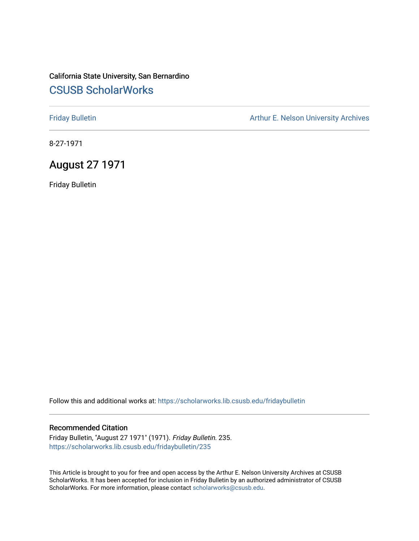## California State University, San Bernardino [CSUSB ScholarWorks](https://scholarworks.lib.csusb.edu/)

[Friday Bulletin](https://scholarworks.lib.csusb.edu/fridaybulletin) **Arthur E. Nelson University Archives** Arthur E. Nelson University Archives

8-27-1971

## August 27 1971

Friday Bulletin

Follow this and additional works at: [https://scholarworks.lib.csusb.edu/fridaybulletin](https://scholarworks.lib.csusb.edu/fridaybulletin?utm_source=scholarworks.lib.csusb.edu%2Ffridaybulletin%2F235&utm_medium=PDF&utm_campaign=PDFCoverPages)

#### Recommended Citation

Friday Bulletin, "August 27 1971" (1971). Friday Bulletin. 235. [https://scholarworks.lib.csusb.edu/fridaybulletin/235](https://scholarworks.lib.csusb.edu/fridaybulletin/235?utm_source=scholarworks.lib.csusb.edu%2Ffridaybulletin%2F235&utm_medium=PDF&utm_campaign=PDFCoverPages)

This Article is brought to you for free and open access by the Arthur E. Nelson University Archives at CSUSB ScholarWorks. It has been accepted for inclusion in Friday Bulletin by an authorized administrator of CSUSB ScholarWorks. For more information, please contact [scholarworks@csusb.edu.](mailto:scholarworks@csusb.edu)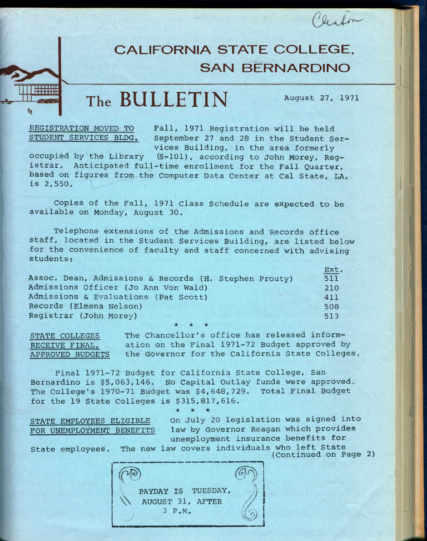# **CALIFORNIA STATE COLLEGE. SAN BERNARDINO**

# **The BULLETIN August** *21,* **<sup>1971</sup>**

liste

**REGISTRATION MOVED TO STUDENT SERVICES BLDG.** 

**ii** 

**Fall, 1971 Registration will be held September 27 and 28 in the Student Services Building, in the area formerly** 

**occupied by the Library (S-101), according to John Morey, Registrar. Anticipated full-time enrollment for the Fall Quarter, based on figures from the Computer Data Center at Cal State, LA, is 2,550.** 

**Copies of the Fall, 1971 Class Schedule are expected to be available on Monday, August 30.** 

**Telephone extensions of the Admissions and Records office staff, located in the Student Services Building, are listed below for the convenience of faculty and staff concerned with advising students:** 

|                                                       | Ext. |
|-------------------------------------------------------|------|
| Assoc. Dean, Admissions & Records (H. Stephen Prouty) | 511  |
| Admissions Officer (Jo Ann Von Wald)                  | 210  |
| Admissions & Evaluations (Pat Scott)                  | 411  |
| Records (Elmena Nelson)                               | 508  |
| Registrar (John Morey)                                | 513  |
|                                                       |      |

**STATE COLLEGES The Chancellor's office has released inform-RECEIVE FINAL, ation on the Final 1971-72 Budget approved by APPROVED BUDGETS the Governor for the California State Colleges.** 

**Final 1971-72 Budget for California State College, San Bernardino is \$5,053,146. No Capital Outlay funds were approved. The College's 1970-71 Budget was \$4,648,729. Total Final Budget for the 19 State Colleges is \$315,817,616.** 

 $\star$ 

**STATE EMPLOYEES ELIGIBLE FOR UNEMPLOYMENT BENEFITS**  **On July 20 legislation was signed into law by Governor Reagan which provides unemployment insurance benefits for** 

**It, .ill** 

State employees. The new law covers individuals who left State

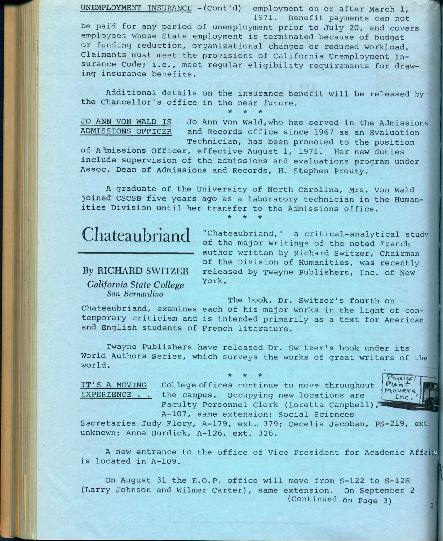**UNEMPLOYMENT INSURANCE -(Cont'd) employment on or after March 1, - 1971. Benefit payments can not be paid for any period of unemployment prior to July 20, and covers employees whose State employment is terminated because of budget or fynding reduction, organizational changes or reduced workload. Claimants must meet the provisions of California Unemployment Insurance Code; i.e., meet regular eligibility requirements for drawing insurance benefits.** 

**Additional details on the insurance benefit will be released by the Chancellor's office in the near future.** 

**\* \* \*** 

**JO ANN VON WALD IS JO Ann Von Wald,who has served in the Admissions ADMISSIONS OFFICER and Records office since 1967 as an Evaluation Technician, has been promoted to the position** 

**of Almissions Officer, effective August 1, 1971. Her new duties include supervision of the admissions and evaluations program under Assoc. Dean of Admissions and Records, H. Stephen Prouty.** 

**A graduate of the University of North Carolina, Mrs. Von Wald joined CSCSB five years ago as a laboratory technician in the Humanities Division until her transfer to the Admissions office. \* \* \*** 

# Chateaubriand

### **By RICHARD SWITZER**

*California State College*  **San** *Bernardino* 

**"Chateaubriand," a critical-analytical study of the major writings of the noted French author written by Richard Switzer, Chairman of the Division of Humanities, was recently released by Twayne Publishers, Inc. of New York.** 

Chateaubriand, examines each of his major works in the light of con**temporary criticism and is intended primarily as a text for American and English students of French literature. The book. Dr. Switzer's fourth on** 

**Twayne Publishers have released Dr. Switzer's book under its World Authors Series, which surveys the works of great writers of the world.** 

**\* \* \***  IT'S A MOVING College offices continue to move throughout **EXPERIENCE . . the campus. Occupying new locations are**  Faculty Personnel Clerk (Loretta Campbell),



**A-107, same extension; Social Sciences Secretaries Judy Flory, A-179, ext.. 379; Cecelia Jacoban, PS-219, ext. unknown; Anna Burdick, A-126, ext. 326.** 

**A new entrance to the office of Vice President for Academic Affairs is located in A-109.** 

**On August 31 the E.O.P. office will move from S-122 to S-128 (Larry Johnson and Wilmer Carter), same extension. On September 2 (Continued on Page 3)**